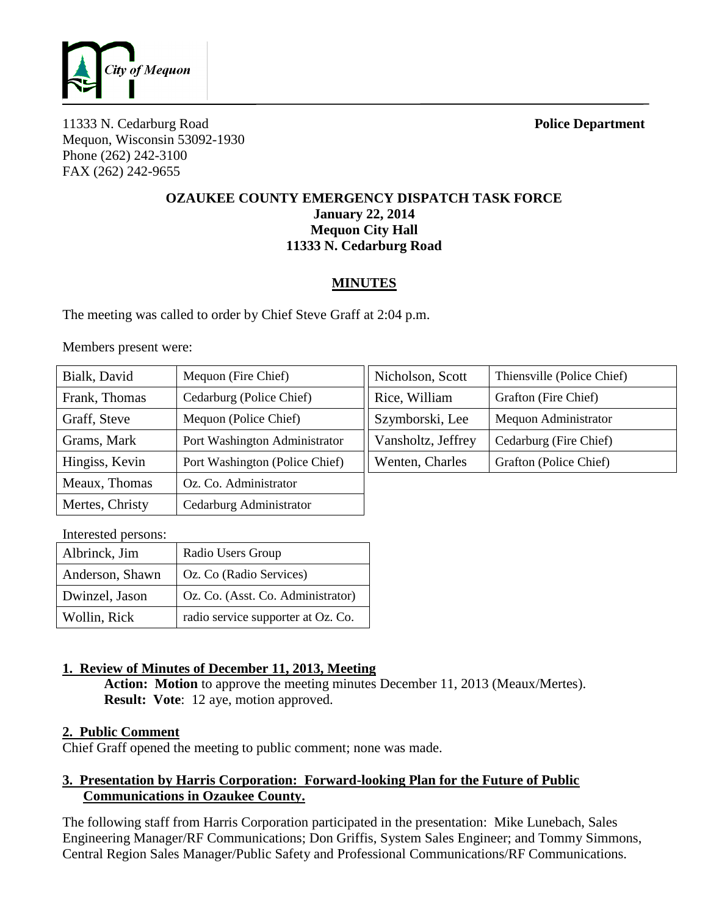

11333 N. Cedarburg Road **Police Department** Mequon, Wisconsin 53092-1930 Phone (262) 242-3100 FAX (262) 242-9655

### **OZAUKEE COUNTY EMERGENCY DISPATCH TASK FORCE January 22, 2014 Mequon City Hall 11333 N. Cedarburg Road**

# **MINUTES**

The meeting was called to order by Chief Steve Graff at 2:04 p.m.

Members present were:

| Bialk, David    | Mequon (Fire Chief)            | Nicholson, Scott   | Thiensville (Police Chief) |
|-----------------|--------------------------------|--------------------|----------------------------|
| Frank, Thomas   | Cedarburg (Police Chief)       | Rice, William      | Grafton (Fire Chief)       |
| Graff, Steve    | Mequon (Police Chief)          | Szymborski, Lee    | Mequon Administrator       |
| Grams, Mark     | Port Washington Administrator  | Vansholtz, Jeffrey | Cedarburg (Fire Chief)     |
| Hingiss, Kevin  | Port Washington (Police Chief) | Wenten, Charles    | Grafton (Police Chief)     |
| Meaux, Thomas   | Oz. Co. Administrator          |                    |                            |
| Mertes, Christy | Cedarburg Administrator        |                    |                            |

| Interested persons: |                                    |  |  |
|---------------------|------------------------------------|--|--|
| Albrinck, Jim       | Radio Users Group                  |  |  |
| Anderson, Shawn     | Oz. Co (Radio Services)            |  |  |
| Dwinzel, Jason      | Oz. Co. (Asst. Co. Administrator)  |  |  |
| Wollin, Rick        | radio service supporter at Oz. Co. |  |  |

# **1. Review of Minutes of December 11, 2013, Meeting**

**Action: Motion** to approve the meeting minutes December 11, 2013 (Meaux/Mertes). **Result: Vote**: 12 aye, motion approved.

## **2. Public Comment**

Chief Graff opened the meeting to public comment; none was made.

## **3. Presentation by Harris Corporation: Forward-looking Plan for the Future of Public Communications in Ozaukee County.**

The following staff from Harris Corporation participated in the presentation: Mike Lunebach, Sales Engineering Manager/RF Communications; Don Griffis, System Sales Engineer; and Tommy Simmons, Central Region Sales Manager/Public Safety and Professional Communications/RF Communications.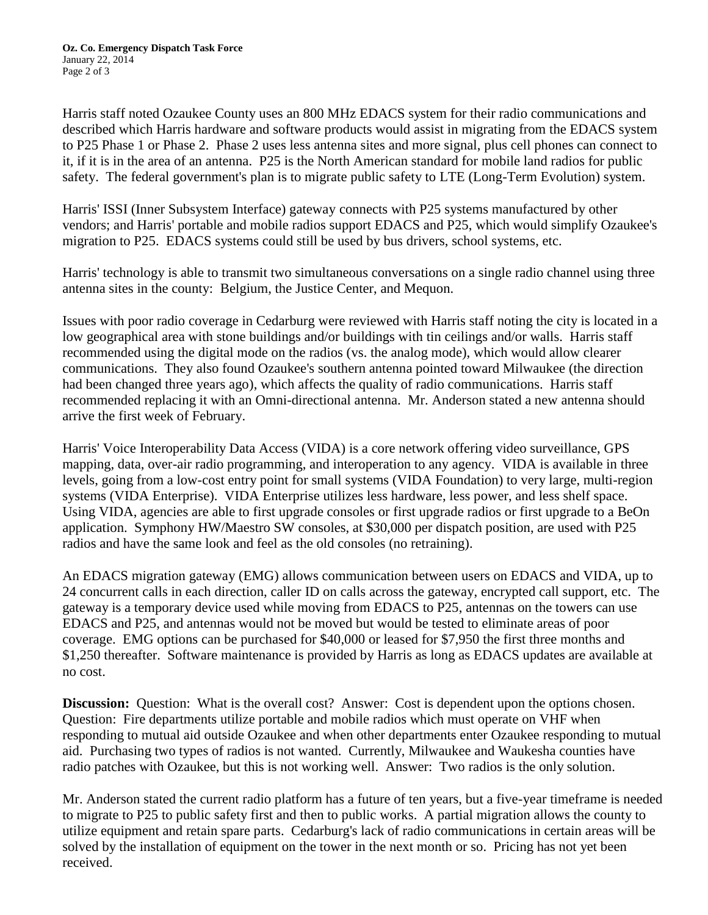Harris staff noted Ozaukee County uses an 800 MHz EDACS system for their radio communications and described which Harris hardware and software products would assist in migrating from the EDACS system to P25 Phase 1 or Phase 2. Phase 2 uses less antenna sites and more signal, plus cell phones can connect to it, if it is in the area of an antenna. P25 is the North American standard for mobile land radios for public safety. The federal government's plan is to migrate public safety to LTE (Long-Term Evolution) system.

Harris' ISSI (Inner Subsystem Interface) gateway connects with P25 systems manufactured by other vendors; and Harris' portable and mobile radios support EDACS and P25, which would simplify Ozaukee's migration to P25. EDACS systems could still be used by bus drivers, school systems, etc.

Harris' technology is able to transmit two simultaneous conversations on a single radio channel using three antenna sites in the county: Belgium, the Justice Center, and Mequon.

Issues with poor radio coverage in Cedarburg were reviewed with Harris staff noting the city is located in a low geographical area with stone buildings and/or buildings with tin ceilings and/or walls. Harris staff recommended using the digital mode on the radios (vs. the analog mode), which would allow clearer communications. They also found Ozaukee's southern antenna pointed toward Milwaukee (the direction had been changed three years ago), which affects the quality of radio communications. Harris staff recommended replacing it with an Omni-directional antenna. Mr. Anderson stated a new antenna should arrive the first week of February.

Harris' Voice Interoperability Data Access (VIDA) is a core network offering video surveillance, GPS mapping, data, over-air radio programming, and interoperation to any agency. VIDA is available in three levels, going from a low-cost entry point for small systems (VIDA Foundation) to very large, multi-region systems (VIDA Enterprise). VIDA Enterprise utilizes less hardware, less power, and less shelf space. Using VIDA, agencies are able to first upgrade consoles or first upgrade radios or first upgrade to a BeOn application. Symphony HW/Maestro SW consoles, at \$30,000 per dispatch position, are used with P25 radios and have the same look and feel as the old consoles (no retraining).

An EDACS migration gateway (EMG) allows communication between users on EDACS and VIDA, up to 24 concurrent calls in each direction, caller ID on calls across the gateway, encrypted call support, etc. The gateway is a temporary device used while moving from EDACS to P25, antennas on the towers can use EDACS and P25, and antennas would not be moved but would be tested to eliminate areas of poor coverage. EMG options can be purchased for \$40,000 or leased for \$7,950 the first three months and \$1,250 thereafter. Software maintenance is provided by Harris as long as EDACS updates are available at no cost.

**Discussion:** Question: What is the overall cost? Answer: Cost is dependent upon the options chosen. Question: Fire departments utilize portable and mobile radios which must operate on VHF when responding to mutual aid outside Ozaukee and when other departments enter Ozaukee responding to mutual aid. Purchasing two types of radios is not wanted. Currently, Milwaukee and Waukesha counties have radio patches with Ozaukee, but this is not working well. Answer: Two radios is the only solution.

Mr. Anderson stated the current radio platform has a future of ten years, but a five-year timeframe is needed to migrate to P25 to public safety first and then to public works. A partial migration allows the county to utilize equipment and retain spare parts. Cedarburg's lack of radio communications in certain areas will be solved by the installation of equipment on the tower in the next month or so. Pricing has not yet been received.